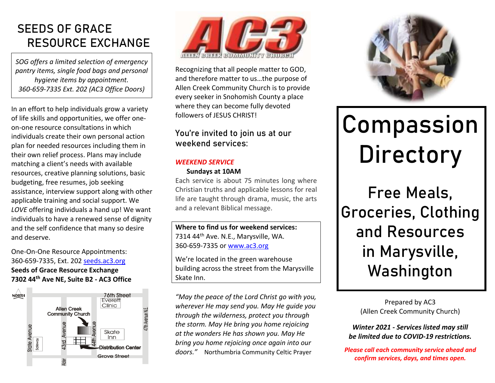### **SEEDS OF GRACE RESOURCE EXCHANGE**

*SOG offers a limited selection of emergency pantry items, single food bags and personal hygiene items by appointment. 360-659-7335 Ext. 202 (AC3 Office Doors)*

In an effort to help individuals grow a variety of life skills and opportunities, we offer oneon-one resource consultations in which individuals create their own personal action plan for needed resources including them in their own relief process. Plans may include matching a client's needs with available resources, creative planning solutions, basic budgeting, free resumes, job seeking assistance, interview support along with other applicable training and social support. We *LOVE* offering individuals a hand up! We want individuals to have a renewed sense of dignity and the self confidence that many so desire and deserve.

One-On-One Resource Appointments: 360-659-7335, Ext. 202 [seeds.ac3.org](http://www.seeds.ac3.org/) **Seeds of Grace Resource Exchange 7302 44th Ave NE, Suite B2 - AC3 Office**





Recognizing that all people matter to GOD, and therefore matter to us…the purpose of Allen Creek Community Church is to provide every seeker in Snohomish County a place where they can become fully devoted followers of JESUS CHRIST!

### **You're invited to join us at our weekend services:**

### *WEEKEND SERVICE*

### **Sundays at 10AM**

Each service is about 75 minutes long where Christian truths and applicable lessons for real life are taught through drama, music, the arts and a relevant Biblical message.

**Where to find us for weekend services:** 7314 44<sup>th</sup> Ave. N.E., Marysville, WA. 360-659-7335 o[r www.ac3.org](http://www.ac3.org/)

We're located in the green warehouse building across the street from the Marysville Skate Inn.

*"May the peace of the Lord Christ go with you, wherever He may send you. May He guide you through the wilderness, protect you through the storm. May He bring you home rejoicing at the wonders He has shown you. May He bring you home rejoicing once again into our doors."* Northumbria Community Celtic Prayer



# **Compassion Directory**

Free Meals, Groceries, Clothing and Resources in Marysville, Washington

> Prepared by AC3 (Allen Creek Community Church)

*Winter 2021 - Services listed may still be limited due to COVID-19 restrictions.*

*Please call each community service ahead and confirm services, days, and times open.*